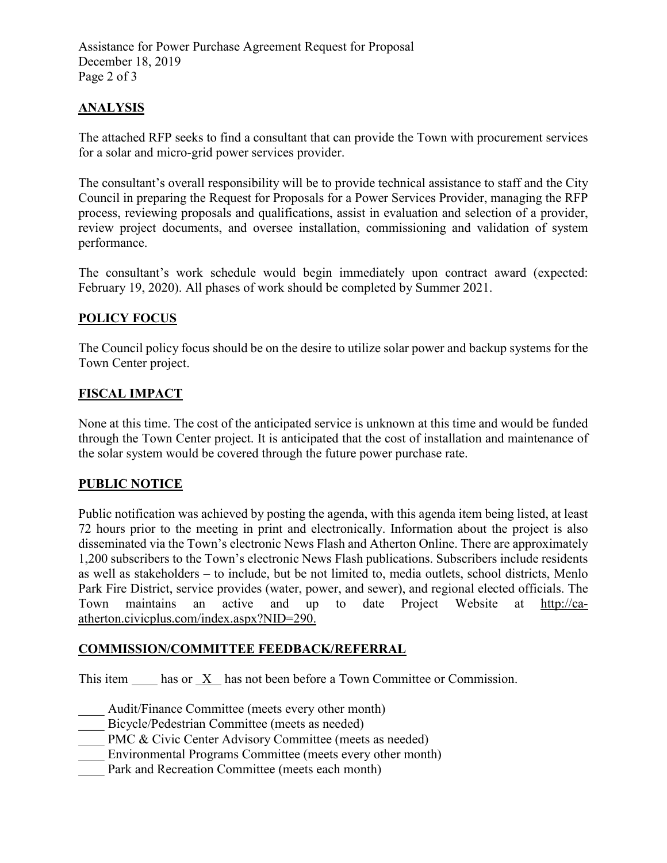Assistance for Power Purchase Agreement Request for Proposal December 18, 2019 Page 2 of 3

## **ANALYSIS**

The attached RFP seeks to find a consultant that can provide the Town with procurement services for a solar and micro-grid power services provider.

The consultant's overall responsibility will be to provide technical assistance to staff and the City Council in preparing the Request for Proposals for a Power Services Provider, managing the RFP process, reviewing proposals and qualifications, assist in evaluation and selection of a provider, review project documents, and oversee installation, commissioning and validation of system performance.

The consultant's work schedule would begin immediately upon contract award (expected: February 19, 2020). All phases of work should be completed by Summer 2021.

### **POLICY FOCUS**

The Council policy focus should be on the desire to utilize solar power and backup systems for the Town Center project.

#### **FISCAL IMPACT**

None at this time. The cost of the anticipated service is unknown at this time and would be funded through the Town Center project. It is anticipated that the cost of installation and maintenance of the solar system would be covered through the future power purchase rate.

#### **PUBLIC NOTICE**

Public notification was achieved by posting the agenda, with this agenda item being listed, at least 72 hours prior to the meeting in print and electronically. Information about the project is also disseminated via the Town's electronic News Flash and Atherton Online. There are approximately 1,200 subscribers to the Town's electronic News Flash publications. Subscribers include residents as well as stakeholders – to include, but be not limited to, media outlets, school districts, Menlo Park Fire District, service provides (water, power, and sewer), and regional elected officials. The Town maintains an active and up to date Project Website at http://ca-Town maintains an active and up to date Project Website at [http://ca](http://ca-atherton.civicplus.com/index.aspx?NID=290)[atherton.civicplus.com/index.aspx?NID=290.](http://ca-atherton.civicplus.com/index.aspx?NID=290)

#### **COMMISSION/COMMITTEE FEEDBACK/REFERRAL**

This item has or X has not been before a Town Committee or Commission.

Audit/Finance Committee (meets every other month)

- Bicycle/Pedestrian Committee (meets as needed)
- PMC & Civic Center Advisory Committee (meets as needed)
- Environmental Programs Committee (meets every other month)
- Park and Recreation Committee (meets each month)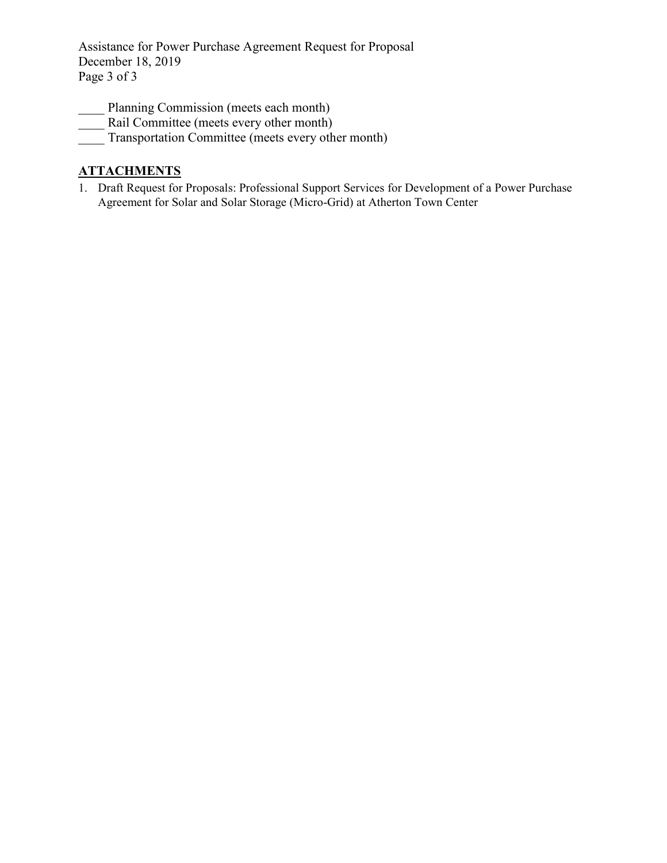Assistance for Power Purchase Agreement Request for Proposal December 18, 2019 Page 3 of 3

- Planning Commission (meets each month)
- Rail Committee (meets every other month)
- Transportation Committee (meets every other month)

# **ATTACHMENTS**

1. Draft Request for Proposals: Professional Support Services for Development of a Power Purchase Agreement for Solar and Solar Storage (Micro-Grid) at Atherton Town Center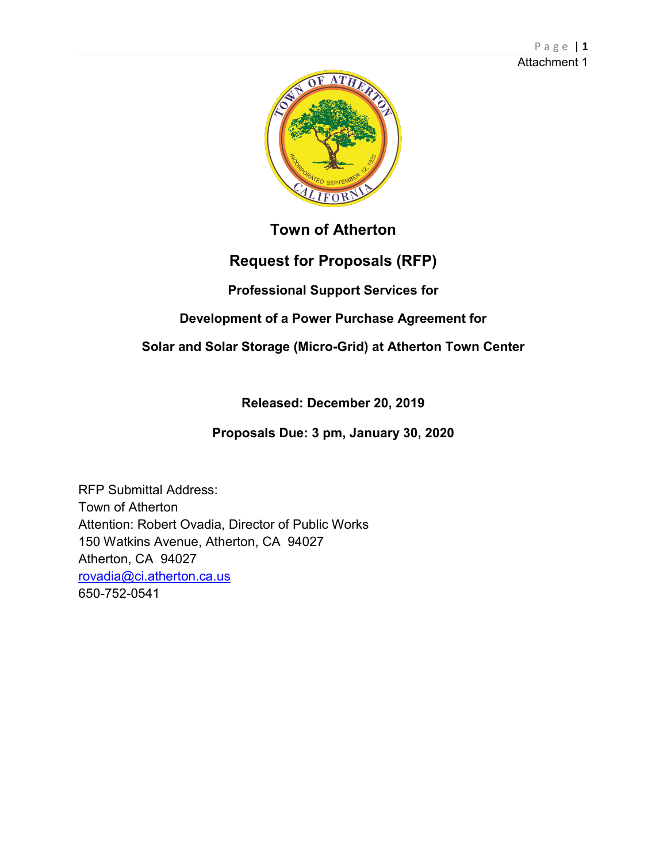

# **Town of Atherton**

# **Request for Proposals (RFP)**

# **Professional Support Services for**

# **Development of a Power Purchase Agreement for**

# **Solar and Solar Storage (Micro-Grid) at Atherton Town Center**

**Released: December 20, 2019**

**Proposals Due: 3 pm, January 30, 2020** 

RFP Submittal Address: Town of Atherton Attention: Robert Ovadia, Director of Public Works 150 Watkins Avenue, Atherton, CA 94027 Atherton, CA 94027 [rovadia@ci.atherton.ca.us](mailto:rovadia@ci.atherton.ca.us) 650-752-0541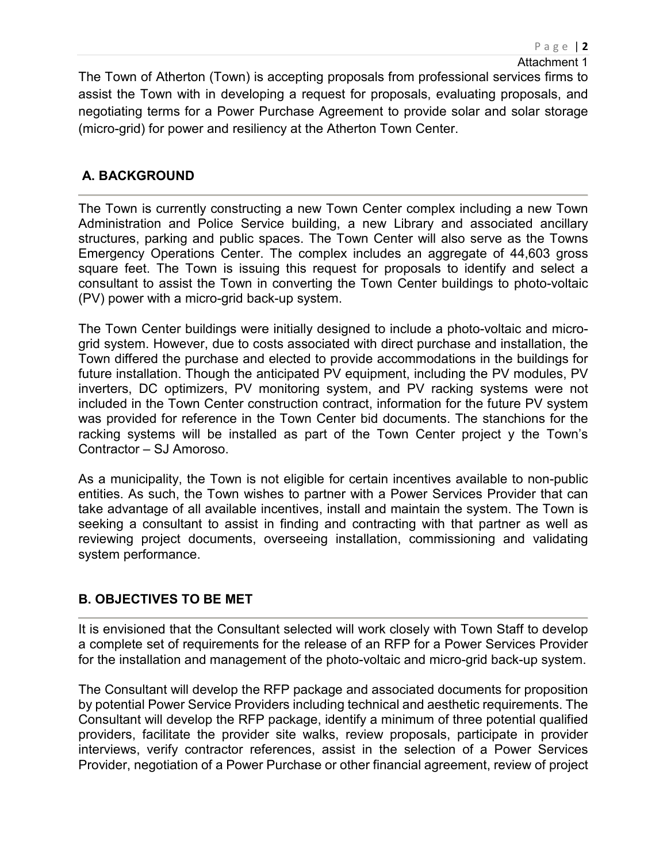The Town of Atherton (Town) is accepting proposals from professional services firms to assist the Town with in developing a request for proposals, evaluating proposals, and negotiating terms for a Power Purchase Agreement to provide solar and solar storage (micro-grid) for power and resiliency at the Atherton Town Center.

# **A. BACKGROUND**

The Town is currently constructing a new Town Center complex including a new Town Administration and Police Service building, a new Library and associated ancillary structures, parking and public spaces. The Town Center will also serve as the Towns Emergency Operations Center. The complex includes an aggregate of 44,603 gross square feet. The Town is issuing this request for proposals to identify and select a consultant to assist the Town in converting the Town Center buildings to photo-voltaic (PV) power with a micro-grid back-up system.

The Town Center buildings were initially designed to include a photo-voltaic and microgrid system. However, due to costs associated with direct purchase and installation, the Town differed the purchase and elected to provide accommodations in the buildings for future installation. Though the anticipated PV equipment, including the PV modules, PV inverters, DC optimizers, PV monitoring system, and PV racking systems were not included in the Town Center construction contract, information for the future PV system was provided for reference in the Town Center bid documents. The stanchions for the racking systems will be installed as part of the Town Center project y the Town's Contractor – SJ Amoroso.

As a municipality, the Town is not eligible for certain incentives available to non-public entities. As such, the Town wishes to partner with a Power Services Provider that can take advantage of all available incentives, install and maintain the system. The Town is seeking a consultant to assist in finding and contracting with that partner as well as reviewing project documents, overseeing installation, commissioning and validating system performance.

# **B. OBJECTIVES TO BE MET**

It is envisioned that the Consultant selected will work closely with Town Staff to develop a complete set of requirements for the release of an RFP for a Power Services Provider for the installation and management of the photo-voltaic and micro-grid back-up system.

The Consultant will develop the RFP package and associated documents for proposition by potential Power Service Providers including technical and aesthetic requirements. The Consultant will develop the RFP package, identify a minimum of three potential qualified providers, facilitate the provider site walks, review proposals, participate in provider interviews, verify contractor references, assist in the selection of a Power Services Provider, negotiation of a Power Purchase or other financial agreement, review of project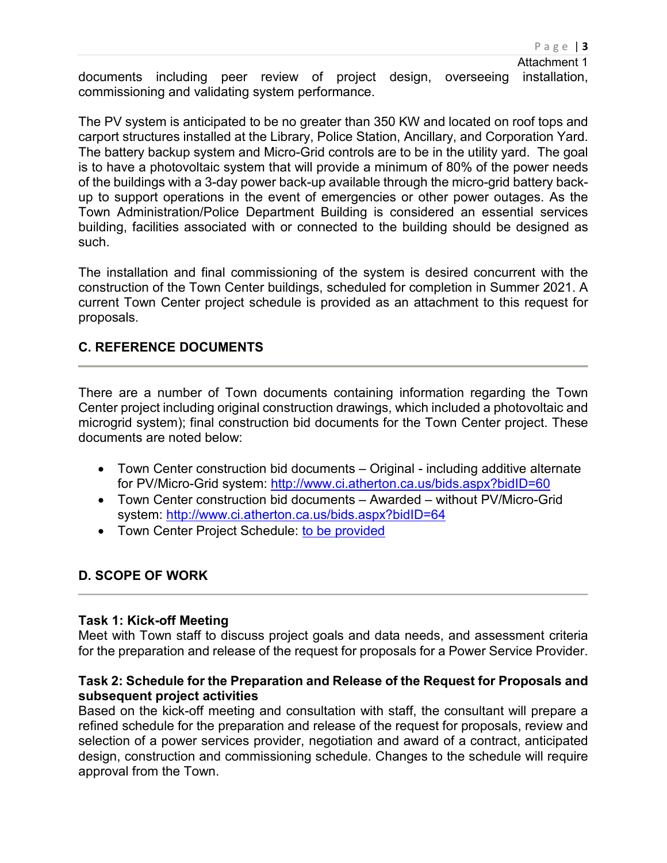documents including peer review of project design, overseeing installation, commissioning and validating system performance.

The PV system is anticipated to be no greater than 350 KW and located on roof tops and carport structures installed at the Library, Police Station, Ancillary, and Corporation Yard. The battery backup system and Micro-Grid controls are to be in the utility yard. The goal is to have a photovoltaic system that will provide a minimum of 80% of the power needs of the buildings with a 3-day power back-up available through the micro-grid battery backup to support operations in the event of emergencies or other power outages. As the Town Administration/Police Department Building is considered an essential services building, facilities associated with or connected to the building should be designed as such.

The installation and final commissioning of the system is desired concurrent with the construction of the Town Center buildings, scheduled for completion in Summer 2021. A current Town Center project schedule is provided as an attachment to this request for proposals.

## **C. REFERENCE DOCUMENTS**

There are a number of Town documents containing information regarding the Town Center project including original construction drawings, which included a photovoltaic and microgrid system); final construction bid documents for the Town Center project. These documents are noted below:

- Town Center construction bid documents Original including additive alternate for PV/Micro-Grid system:<http://www.ci.atherton.ca.us/bids.aspx?bidID=60>
- Town Center construction bid documents Awarded without PV/Micro-Grid system:<http://www.ci.atherton.ca.us/bids.aspx?bidID=64>
- Town Center Project Schedule: [to](http://www.ci.atherton.ca.us/index.aspx?NID=298) be provided

# **D. SCOPE OF WORK**

#### **Task 1: Kick-off Meeting**

Meet with Town staff to discuss project goals and data needs, and assessment criteria for the preparation and release of the request for proposals for a Power Service Provider.

### **Task 2: Schedule for the Preparation and Release of the Request for Proposals and subsequent project activities**

Based on the kick-off meeting and consultation with staff, the consultant will prepare a refined schedule for the preparation and release of the request for proposals, review and selection of a power services provider, negotiation and award of a contract, anticipated design, construction and commissioning schedule. Changes to the schedule will require approval from the Town.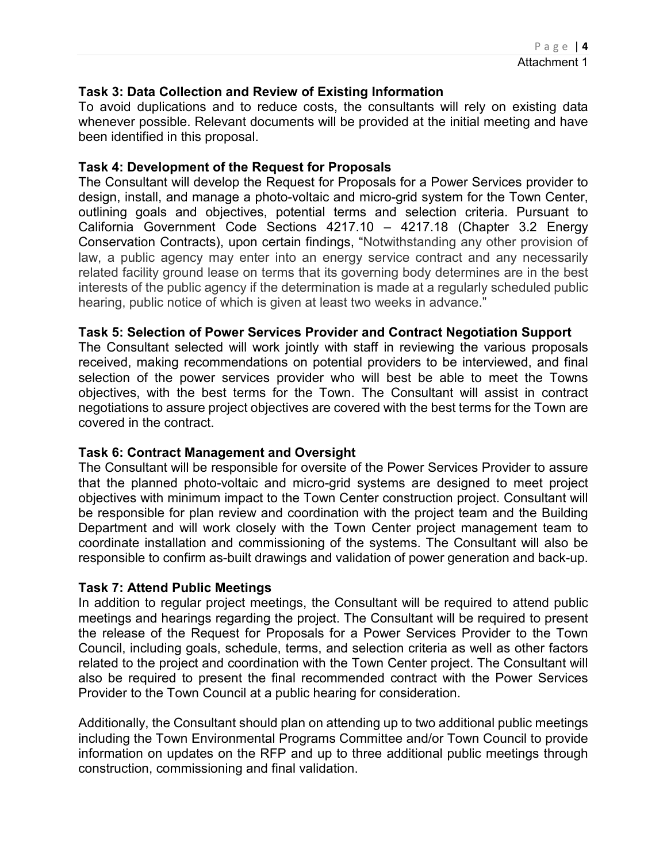### **Task 3: Data Collection and Review of Existing Information**

To avoid duplications and to reduce costs, the consultants will rely on existing data whenever possible. Relevant documents will be provided at the initial meeting and have been identified in this proposal.

### **Task 4: Development of the Request for Proposals**

The Consultant will develop the Request for Proposals for a Power Services provider to design, install, and manage a photo-voltaic and micro-grid system for the Town Center, outlining goals and objectives, potential terms and selection criteria. Pursuant to California Government Code Sections 4217.10 – 4217.18 (Chapter 3.2 Energy Conservation Contracts), upon certain findings, "Notwithstanding any other provision of law, a public agency may enter into an energy service contract and any necessarily related facility ground lease on terms that its governing body determines are in the best interests of the public agency if the determination is made at a regularly scheduled public hearing, public notice of which is given at least two weeks in advance."

### **Task 5: Selection of Power Services Provider and Contract Negotiation Support**

The Consultant selected will work jointly with staff in reviewing the various proposals received, making recommendations on potential providers to be interviewed, and final selection of the power services provider who will best be able to meet the Towns objectives, with the best terms for the Town. The Consultant will assist in contract negotiations to assure project objectives are covered with the best terms for the Town are covered in the contract.

#### **Task 6: Contract Management and Oversight**

The Consultant will be responsible for oversite of the Power Services Provider to assure that the planned photo-voltaic and micro-grid systems are designed to meet project objectives with minimum impact to the Town Center construction project. Consultant will be responsible for plan review and coordination with the project team and the Building Department and will work closely with the Town Center project management team to coordinate installation and commissioning of the systems. The Consultant will also be responsible to confirm as-built drawings and validation of power generation and back-up.

#### **Task 7: Attend Public Meetings**

In addition to regular project meetings, the Consultant will be required to attend public meetings and hearings regarding the project. The Consultant will be required to present the release of the Request for Proposals for a Power Services Provider to the Town Council, including goals, schedule, terms, and selection criteria as well as other factors related to the project and coordination with the Town Center project. The Consultant will also be required to present the final recommended contract with the Power Services Provider to the Town Council at a public hearing for consideration.

Additionally, the Consultant should plan on attending up to two additional public meetings including the Town Environmental Programs Committee and/or Town Council to provide information on updates on the RFP and up to three additional public meetings through construction, commissioning and final validation.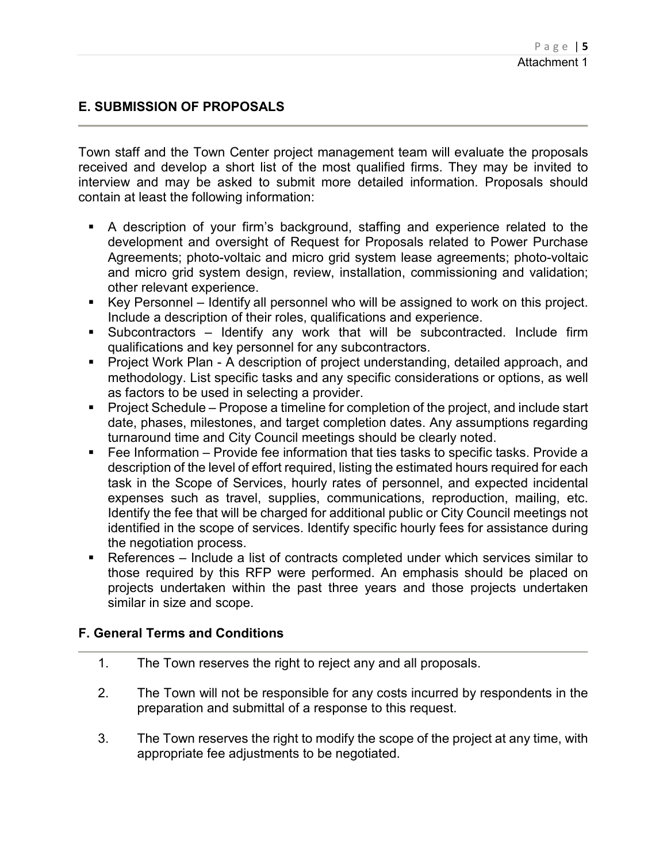## **E. SUBMISSION OF PROPOSALS**

Town staff and the Town Center project management team will evaluate the proposals received and develop a short list of the most qualified firms. They may be invited to interview and may be asked to submit more detailed information. Proposals should contain at least the following information:

- A description of your firm's background, staffing and experience related to the development and oversight of Request for Proposals related to Power Purchase Agreements; photo-voltaic and micro grid system lease agreements; photo-voltaic and micro grid system design, review, installation, commissioning and validation; other relevant experience.
- Key Personnel Identify all personnel who will be assigned to work on this project. Include a description of their roles, qualifications and experience.
- Subcontractors Identify any work that will be subcontracted. Include firm qualifications and key personnel for any subcontractors.
- **Project Work Plan A description of project understanding, detailed approach, and** methodology. List specific tasks and any specific considerations or options, as well as factors to be used in selecting a provider.
- **Project Schedule Propose a timeline for completion of the project, and include start** date, phases, milestones, and target completion dates. Any assumptions regarding turnaround time and City Council meetings should be clearly noted.
- Fee Information Provide fee information that ties tasks to specific tasks. Provide a description of the level of effort required, listing the estimated hours required for each task in the Scope of Services, hourly rates of personnel, and expected incidental expenses such as travel, supplies, communications, reproduction, mailing, etc. Identify the fee that will be charged for additional public or City Council meetings not identified in the scope of services. Identify specific hourly fees for assistance during the negotiation process.
- References Include a list of contracts completed under which services similar to those required by this RFP were performed. An emphasis should be placed on projects undertaken within the past three years and those projects undertaken similar in size and scope.

### **F. General Terms and Conditions**

- 1. The Town reserves the right to reject any and all proposals.
- 2. The Town will not be responsible for any costs incurred by respondents in the preparation and submittal of a response to this request.
- 3. The Town reserves the right to modify the scope of the project at any time, with appropriate fee adjustments to be negotiated.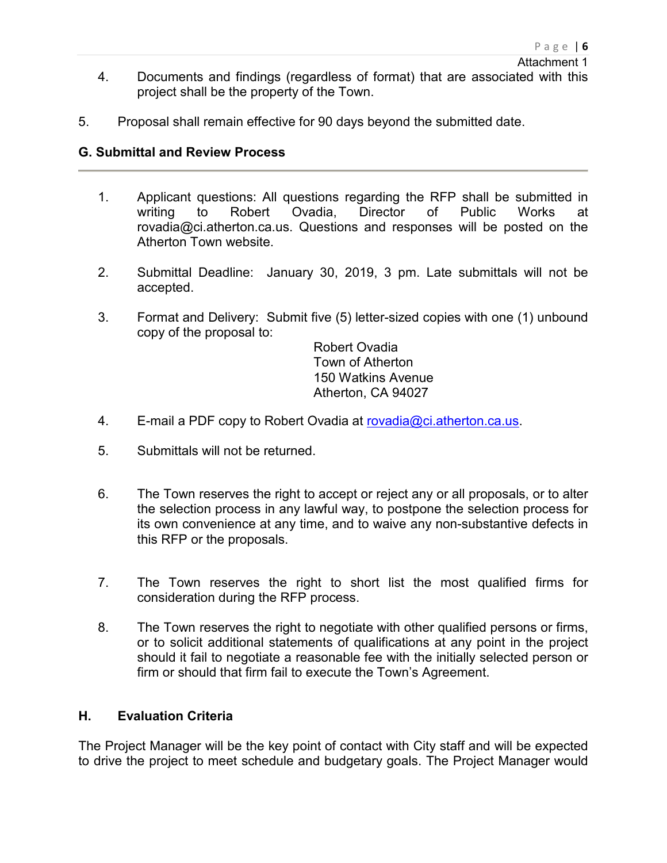- 4. Documents and findings (regardless of format) that are associated with this project shall be the property of the Town.
- 5. Proposal shall remain effective for 90 days beyond the submitted date.

### **G. Submittal and Review Process**

- 1. Applicant questions: All questions regarding the RFP shall be submitted in writing to Robert Ovadia, Director of Public Works at rovadia@ci.atherton.ca.us. Questions and responses will be posted on the Atherton Town website.
- 2. Submittal Deadline: January 30, 2019, 3 pm. Late submittals will not be accepted.
- 3. Format and Delivery: Submit five (5) letter-sized copies with one (1) unbound copy of the proposal to:

Robert Ovadia Town of Atherton 150 Watkins Avenue Atherton, CA 94027

- 4. E-mail a PDF copy to Robert Ovadia at [rovadia@ci.atherton.ca.us.](mailto:rovadia@ci.atherton.ca.us)
- 5. Submittals will not be returned.
- 6. The Town reserves the right to accept or reject any or all proposals, or to alter the selection process in any lawful way, to postpone the selection process for its own convenience at any time, and to waive any non-substantive defects in this RFP or the proposals.
- 7. The Town reserves the right to short list the most qualified firms for consideration during the RFP process.
- 8. The Town reserves the right to negotiate with other qualified persons or firms, or to solicit additional statements of qualifications at any point in the project should it fail to negotiate a reasonable fee with the initially selected person or firm or should that firm fail to execute the Town's Agreement.

### **H. Evaluation Criteria**

The Project Manager will be the key point of contact with City staff and will be expected to drive the project to meet schedule and budgetary goals. The Project Manager would